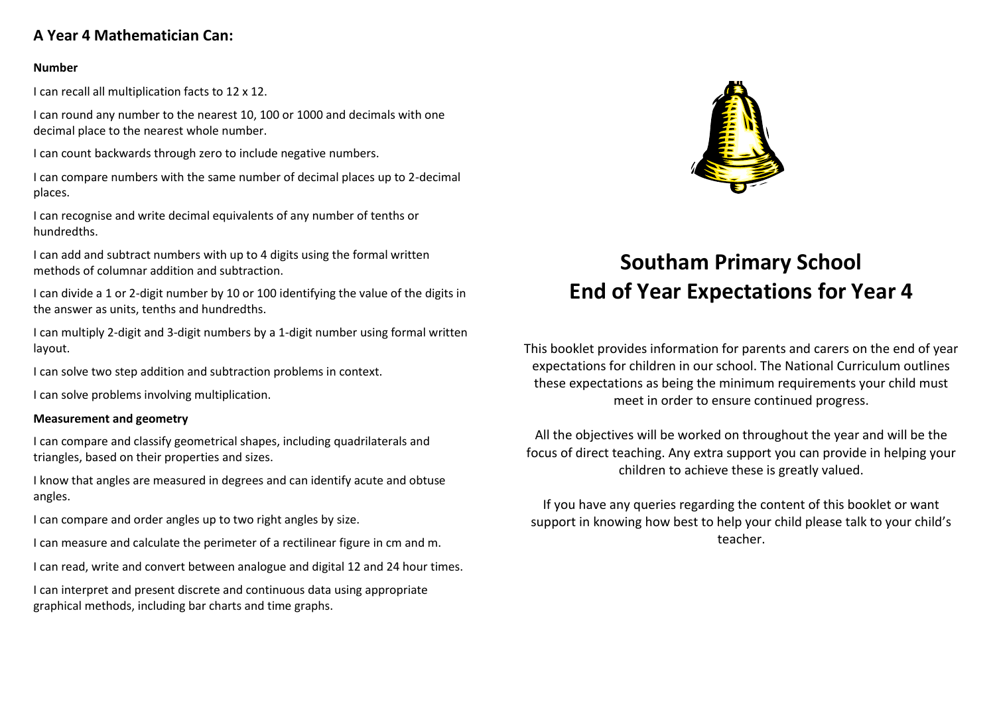# **A Year 4 Mathematician Can:**

### **Number**

I can recall all multiplication facts to 12 x 12.

I can round any number to the nearest 10, 100 or 1000 and decimals with one decimal place to the nearest whole number.

I can count backwards through zero to include negative numbers.

I can compare numbers with the same number of decimal places up to 2-decimal places.

I can recognise and write decimal equivalents of any number of tenths or hundredths.

I can add and subtract numbers with up to 4 digits using the formal written methods of columnar addition and subtraction.

I can divide a 1 or 2-digit number by 10 or 100 identifying the value of the digits in the answer as units, tenths and hundredths.

I can multiply 2-digit and 3-digit numbers by a 1-digit number using formal written layout.

I can solve two step addition and subtraction problems in context.

I can solve problems involving multiplication.

# **Measurement and geometry**

I can compare and classify geometrical shapes, including quadrilaterals and triangles, based on their properties and sizes.

I know that angles are measured in degrees and can identify acute and obtuse angles.

I can compare and order angles up to two right angles by size.

- I can measure and calculate the perimeter of a rectilinear figure in cm and m.
- I can read, write and convert between analogue and digital 12 and 24 hour times.

I can interpret and present discrete and continuous data using appropriate graphical methods, including bar charts and time graphs.



# **Southam Primary School End of Year Expectations for Year 4**

This booklet provides information for parents and carers on the end of year expectations for children in our school. The National Curriculum outlines these expectations as being the minimum requirements your child must meet in order to ensure continued progress.

All the objectives will be worked on throughout the year and will be the focus of direct teaching. Any extra support you can provide in helping your children to achieve these is greatly valued.

If you have any queries regarding the content of this booklet or want support in knowing how best to help your child please talk to your child's teacher.